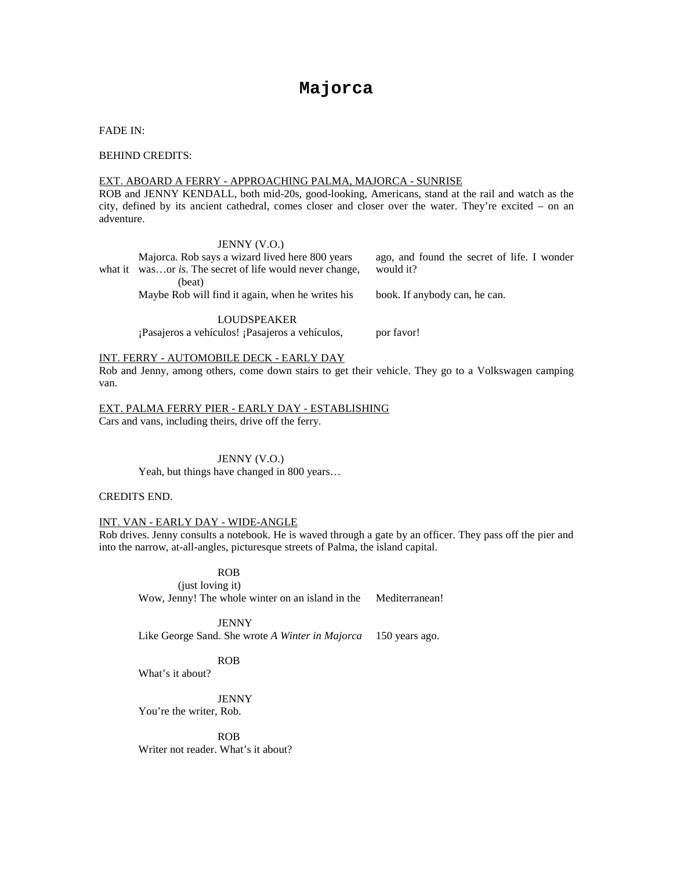# **Majorca**

#### FADE IN:

#### BEHIND CREDITS:

#### EXT. ABOARD A FERRY - APPROACHING PALMA, MAJORCA - SUNRISE

ROB and JENNY KENDALL, both mid-20s, good-looking, Americans, stand at the rail and watch as the city, defined by its ancient cathedral, comes closer and closer over the water. They're excited – on an adventure.

## JENNY (V.O.) Majorca. Rob says a wizard lived here 800 years ago, and found the secret of life. I wonder what it was...or *is*. The secret of life would never change, would it? (beat) Maybe Rob will find it again, when he writes his book. If anybody can, he can. LOUDSPEAKER

¡Pasajeros a vehículos! ¡Pasajeros a vehículos, por favor!

## INT. FERRY - AUTOMOBILE DECK - EARLY DAY

Rob and Jenny, among others, come down stairs to get their vehicle. They go to a Volkswagen camping van.

#### EXT. PALMA FERRY PIER - EARLY DAY - ESTABLISHING Cars and vans, including theirs, drive off the ferry.

## JENNY (V.O.) Yeah, but things have changed in 800 years...

## CREDITS END.

## INT. VAN - EARLY DAY - WIDE-ANGLE

Rob drives. Jenny consults a notebook. He is waved through a gate by an officer. They pass off the pier and into the narrow, at-all-angles, picturesque streets of Palma, the island capital.

ROB

(just loving it) Wow, Jenny! The whole winter on an island in the Mediterranean!

JENNY

Like George Sand. She wrote *A Winter in Majorca* 150 years ago.

ROB

What's it about?

**JENNY** 

You're the writer, Rob.

ROB

Writer not reader. What's it about?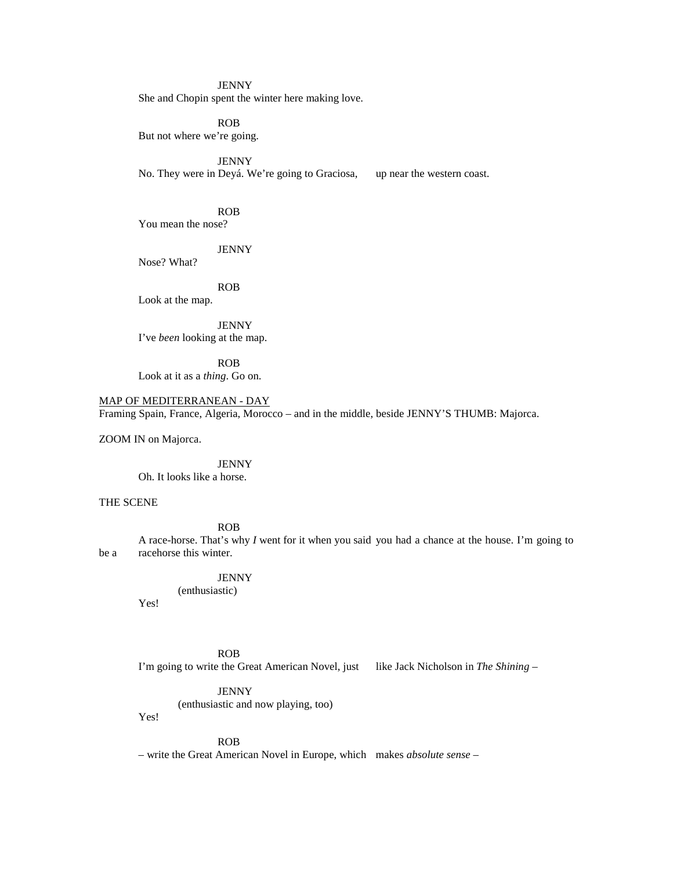#### **JENNY**

She and Chopin spent the winter here making love.

ROB

But not where we're going.

JENNY No. They were in Deyá. We're going to Graciosa, up near the western coast.

ROB

You mean the nose?

#### **JENNY**

Nose? What?

## ROB

Look at the map.

**JENNY** I've *been* looking at the map.

ROB

Look at it as a *thing*. Go on.

MAP OF MEDITERRANEAN - DAY Framing Spain, France, Algeria, Morocco – and in the middle, beside JENNY'S THUMB: Majorca.

ZOOM IN on Majorca.

**JENNY** Oh. It looks like a horse.

## THE SCENE

ROB A race-horse. That's why *I* went for it when you said you had a chance at the house. I'm going to be a racehorse this winter.

**JENNY** 

#### (enthusiastic)

Yes!

ROB

I'm going to write the Great American Novel, just like Jack Nicholson in *The Shining* –

JENNY

(enthusiastic and now playing, too)

Yes!

ROB

– write the Great American Novel in Europe, which makes *absolute sense* –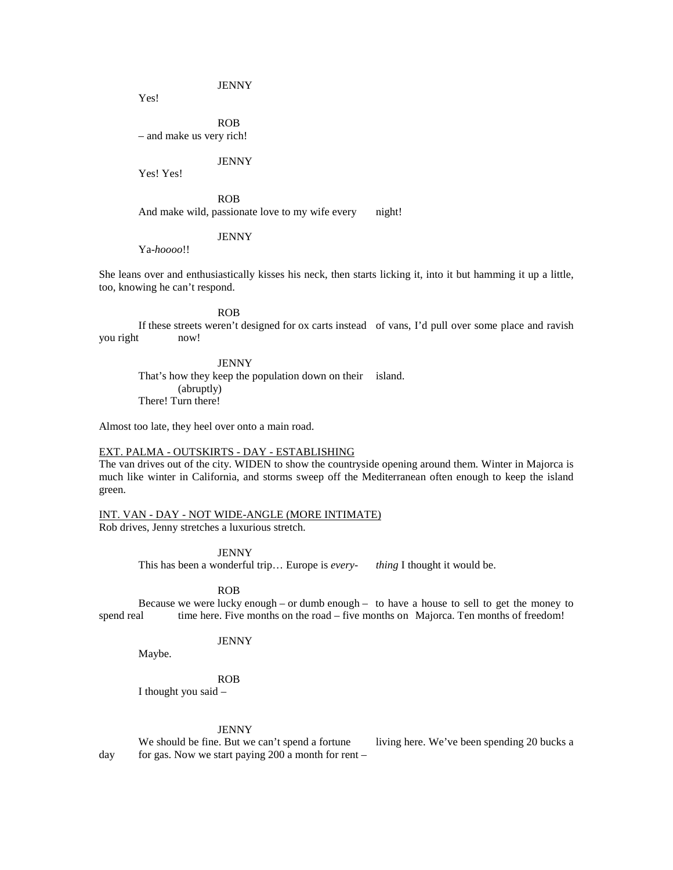## **JENNY**

ROB – and make us very rich!

**JENNY** 

Yes! Yes!

Yes!

ROB And make wild, passionate love to my wife every night!

JENNY Ya-*hoooo*!!

She leans over and enthusiastically kisses his neck, then starts licking it, into it but hamming it up a little, too, knowing he can't respond.

ROB

If these streets weren't designed for ox carts instead of vans, I'd pull over some place and ravish you right now!

**JENNY** That's how they keep the population down on their island. (abruptly) There! Turn there!

Almost too late, they heel over onto a main road.

#### EXT. PALMA - OUTSKIRTS - DAY - ESTABLISHING

The van drives out of the city. WIDEN to show the countryside opening around them. Winter in Majorca is much like winter in California, and storms sweep off the Mediterranean often enough to keep the island green.

INT. VAN - DAY - NOT WIDE-ANGLE (MORE INTIMATE)

Rob drives, Jenny stretches a luxurious stretch.

**JENNY** 

This has been a wonderful trip… Europe is *every- thing* I thought it would be.

ROB

Because we were lucky enough – or dumb enough – to have a house to sell to get the money to spend real time here. Five months on the road – five months on Majorca. Ten months of freedom!

## JENNY

Maybe.

ROB

I thought you said –

#### **JENNY**

We should be fine. But we can't spend a fortune living here. We've been spending 20 bucks a day for gas. Now we start paying 200 a month for rent –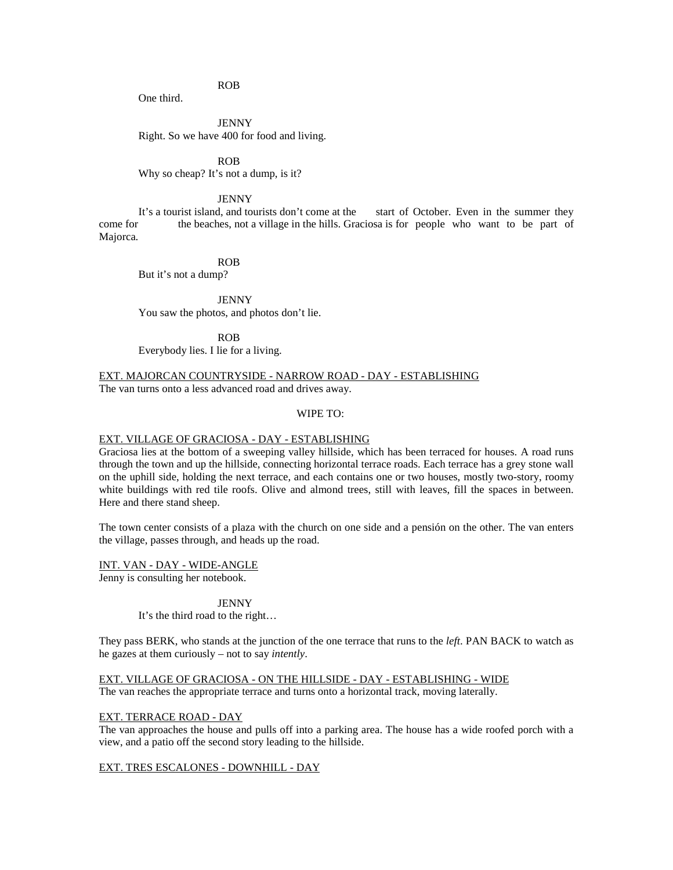#### ROB

One third.

**JENNY** Right. So we have 400 for food and living.

ROB Why so cheap? It's not a dump, is it?

#### **JENNY**

It's a tourist island, and tourists don't come at the start of October. Even in the summer they come for the beaches, not a village in the hills. Graciosa is for people who want to be part of Majorca.

ROB

But it's not a dump?

JENNY You saw the photos, and photos don't lie.

ROB

Everybody lies. I lie for a living.

EXT. MAJORCAN COUNTRYSIDE - NARROW ROAD - DAY - ESTABLISHING The van turns onto a less advanced road and drives away.

#### WIPE TO:

#### EXT. VILLAGE OF GRACIOSA - DAY - ESTABLISHING

Graciosa lies at the bottom of a sweeping valley hillside, which has been terraced for houses. A road runs through the town and up the hillside, connecting horizontal terrace roads. Each terrace has a grey stone wall on the uphill side, holding the next terrace, and each contains one or two houses, mostly two-story, roomy white buildings with red tile roofs. Olive and almond trees, still with leaves, fill the spaces in between. Here and there stand sheep.

The town center consists of a plaza with the church on one side and a pensión on the other. The van enters the village, passes through, and heads up the road.

INT. VAN - DAY - WIDE-ANGLE Jenny is consulting her notebook.

**JENNY** 

It's the third road to the right…

They pass BERK, who stands at the junction of the one terrace that runs to the *left*. PAN BACK to watch as he gazes at them curiously – not to say *intently*.

EXT. VILLAGE OF GRACIOSA - ON THE HILLSIDE - DAY - ESTABLISHING - WIDE The van reaches the appropriate terrace and turns onto a horizontal track, moving laterally.

#### EXT. TERRACE ROAD - DAY

The van approaches the house and pulls off into a parking area. The house has a wide roofed porch with a view, and a patio off the second story leading to the hillside.

#### EXT. TRES ESCALONES - DOWNHILL - DAY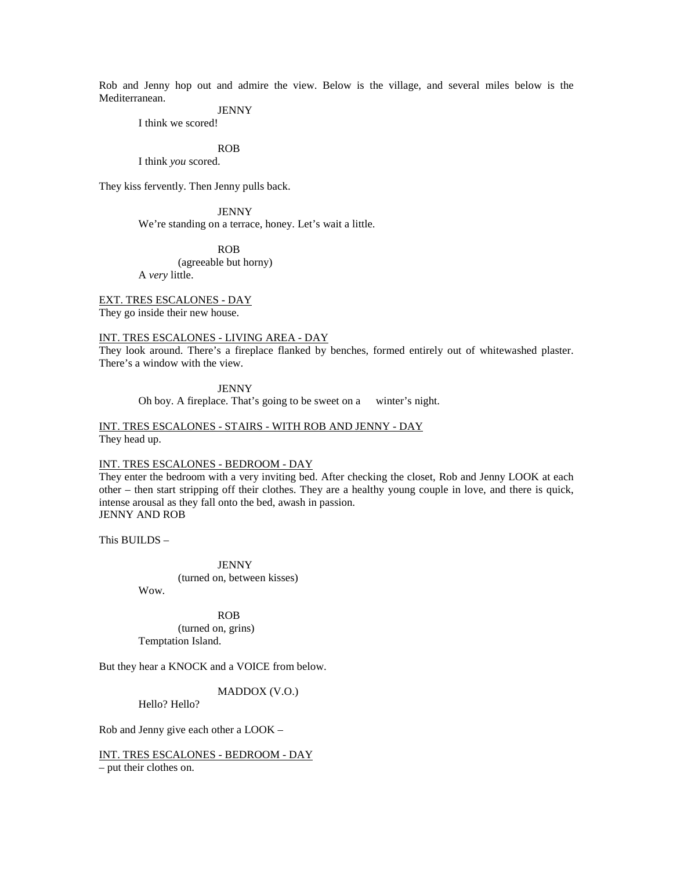Rob and Jenny hop out and admire the view. Below is the village, and several miles below is the Mediterranean.

JENNY

I think we scored!

ROB

I think *you* scored.

They kiss fervently. Then Jenny pulls back.

**JENNY** 

We're standing on a terrace, honey. Let's wait a little.

ROB

(agreeable but horny)

A *very* little.

EXT. TRES ESCALONES - DAY They go inside their new house.

## INT. TRES ESCALONES - LIVING AREA - DAY

They look around. There's a fireplace flanked by benches, formed entirely out of whitewashed plaster. There's a window with the view.

**JENNY** 

Oh boy. A fireplace. That's going to be sweet on a winter's night.

INT. TRES ESCALONES - STAIRS - WITH ROB AND JENNY - DAY They head up.

### INT. TRES ESCALONES - BEDROOM - DAY

They enter the bedroom with a very inviting bed. After checking the closet, Rob and Jenny LOOK at each other – then start stripping off their clothes. They are a healthy young couple in love, and there is quick, intense arousal as they fall onto the bed, awash in passion. JENNY AND ROB

This BUILDS –

JENNY (turned on, between kisses)

Wow.

ROB

(turned on, grins) Temptation Island.

But they hear a KNOCK and a VOICE from below.

MADDOX (V.O.)

Hello? Hello?

Rob and Jenny give each other a LOOK –

INT. TRES ESCALONES - BEDROOM - DAY

– put their clothes on.